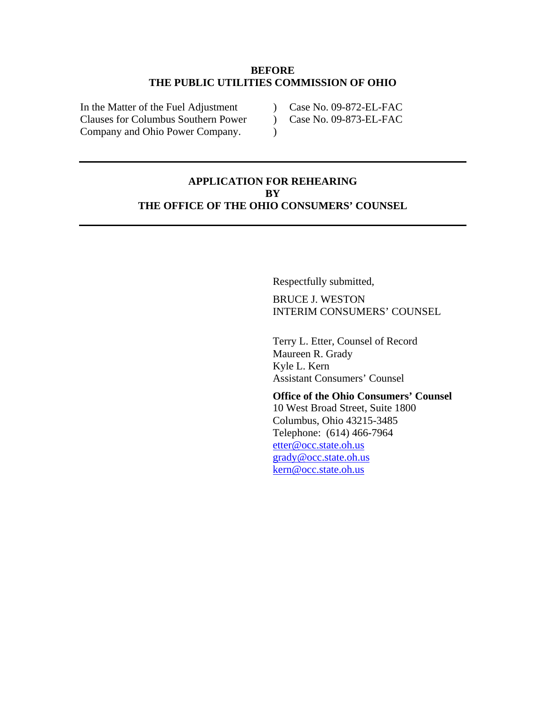#### **BEFORE THE PUBLIC UTILITIES COMMISSION OF OHIO**

 $\mathcal{L}$ 

In the Matter of the Fuel Adjustment Clauses for Columbus Southern Power Company and Ohio Power Company.

- ) Case No. 09-872-EL-FAC
- $\sum_{i=1}^{n}$ Case No. 09-873-EL-FAC
- **APPLICATION FOR REHEARING BY THE OFFICE OF THE OHIO CONSUMERS' COUNSEL**

Respectfully submitted,

BRUCE J. WESTON INTERIM CONSUMERS' COUNSEL

Terry L. Etter, Counsel of Record Maureen R. Grady Kyle L. Kern Assistant Consumers' Counsel

**Office of the Ohio Consumers' Counsel**  10 West Broad Street, Suite 1800 Columbus, Ohio 43215-3485 Telephone: (614) 466-7964 [etter@occ.state.oh.us](mailto:etter@occ.state.oh.us) [grady@occ.state.oh.us](mailto:grady@occ.state.oh.us) [kern@occ.state.oh.us](mailto:kern@occ.state.oh.us)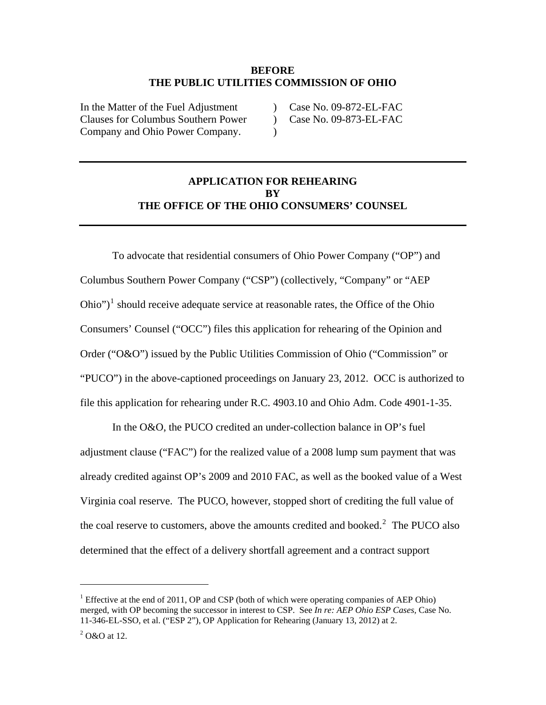#### **BEFORE THE PUBLIC UTILITIES COMMISSION OF OHIO**

 $\lambda$ 

In the Matter of the Fuel Adjustment Clauses for Columbus Southern Power Company and Ohio Power Company.

 $\mathcal{L}$ Case No. 09-872-EL-FAC

 $\mathcal{L}$ Case No. 09-873-EL-FAC

# **APPLICATION FOR REHEARING BY THE OFFICE OF THE OHIO CONSUMERS' COUNSEL**

To advocate that residential consumers of Ohio Power Company ("OP") and Columbus Southern Power Company ("CSP") (collectively, "Company" or "AEP  $\text{Ohio'}$  should receive adequate service at reasonable rates, the Office of the Ohio Consumers' Counsel ("OCC") files this application for rehearing of the Opinion and Order ("O&O") issued by the Public Utilities Commission of Ohio ("Commission" or "PUCO") in the above-captioned proceedings on January 23, 2012. OCC is authorized to file this application for rehearing under R.C. 4903.10 and Ohio Adm. Code 4901-1-35.

In the O&O, the PUCO credited an under-collection balance in OP's fuel adjustment clause ("FAC") for the realized value of a 2008 lump sum payment that was already credited against OP's 2009 and 2010 FAC, as well as the booked value of a West Virginia coal reserve. The PUCO, however, stopped short of crediting the full value of the coal reserve to customers, above the amounts credited and booked.<sup>[2](#page-1-0)</sup> The PUCO also determined that the effect of a delivery shortfall agreement and a contract support

<span id="page-1-1"></span><sup>&</sup>lt;sup>1</sup> Effective at the end of 2011, OP and CSP (both of which were operating companies of AEP Ohio) merged, with OP becoming the successor in interest to CSP. See *In re: AEP Ohio ESP Cases,* Case No. 11-346-EL-SSO, et al. ("ESP 2"), OP Application for Rehearing (January 13, 2012) at 2.

<span id="page-1-0"></span> $2^2$  O&O at 12.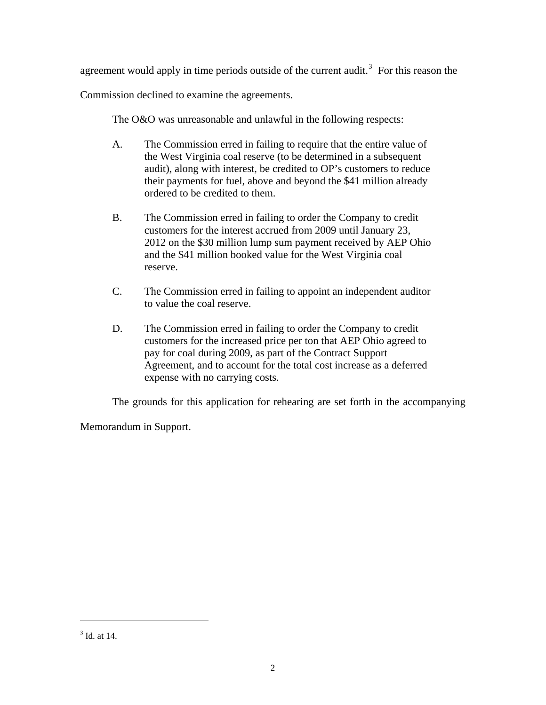agreement would apply in time periods outside of the current audit.<sup>[3](#page-2-0)</sup> For this reason the

Commission declined to examine the agreements.

The O&O was unreasonable and unlawful in the following respects:

- A. The Commission erred in failing to require that the entire value of the West Virginia coal reserve (to be determined in a subsequent audit), along with interest, be credited to OP's customers to reduce their payments for fuel, above and beyond the \$41 million already ordered to be credited to them.
- B. The Commission erred in failing to order the Company to credit customers for the interest accrued from 2009 until January 23, 2012 on the \$30 million lump sum payment received by AEP Ohio and the \$41 million booked value for the West Virginia coal reserve.
- C. The Commission erred in failing to appoint an independent auditor to value the coal reserve.
- D. The Commission erred in failing to order the Company to credit customers for the increased price per ton that AEP Ohio agreed to pay for coal during 2009, as part of the Contract Support Agreement, and to account for the total cost increase as a deferred expense with no carrying costs.

The grounds for this application for rehearing are set forth in the accompanying

Memorandum in Support.

<span id="page-2-0"></span><sup>&</sup>lt;sup>3</sup> Id. at 14.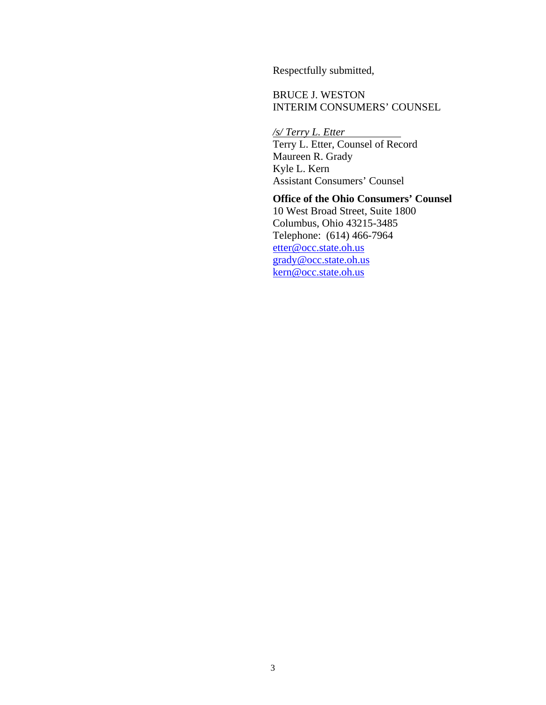Respectfully submitted,

BRUCE J. WESTON INTERIM CONSUMERS' COUNSEL

*/s/ Terry L. Etter*  Terry L. Etter, Counsel of Record Maureen R. Grady Kyle L. Kern Assistant Consumers' Counsel

**Office of the Ohio Consumers' Counsel**  10 West Broad Street, Suite 1800 Columbus, Ohio 43215-3485 Telephone: (614) 466-7964 [etter@occ.state.oh.us](mailto:Etter@occ.state.oh.us) [grady@occ.state.oh.us](mailto:grady@occ.state.oh.us) [kern@occ.state.oh.us](mailto:kern@occ.state.oh.us)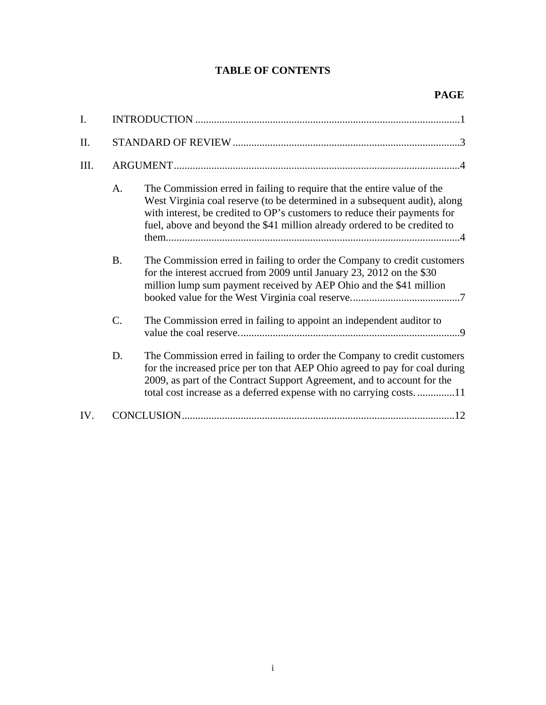# **TABLE OF CONTENTS**

| I.   |           |                                                                                                                                                                                                                                                                                                                 |
|------|-----------|-----------------------------------------------------------------------------------------------------------------------------------------------------------------------------------------------------------------------------------------------------------------------------------------------------------------|
| II.  |           |                                                                                                                                                                                                                                                                                                                 |
| III. |           |                                                                                                                                                                                                                                                                                                                 |
|      | A.        | The Commission erred in failing to require that the entire value of the<br>West Virginia coal reserve (to be determined in a subsequent audit), along<br>with interest, be credited to OP's customers to reduce their payments for<br>fuel, above and beyond the \$41 million already ordered to be credited to |
|      | <b>B.</b> | The Commission erred in failing to order the Company to credit customers<br>for the interest accrued from 2009 until January 23, 2012 on the \$30<br>million lump sum payment received by AEP Ohio and the \$41 million                                                                                         |
|      | C.        | The Commission erred in failing to appoint an independent auditor to                                                                                                                                                                                                                                            |
|      | D.        | The Commission erred in failing to order the Company to credit customers<br>for the increased price per ton that AEP Ohio agreed to pay for coal during<br>2009, as part of the Contract Support Agreement, and to account for the<br>total cost increase as a deferred expense with no carrying costs11        |
| IV.  |           |                                                                                                                                                                                                                                                                                                                 |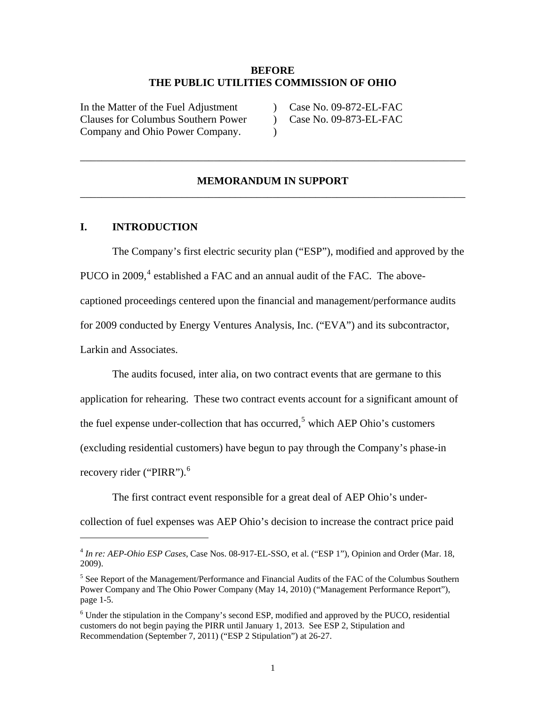#### **BEFORE THE PUBLIC UTILITIES COMMISSION OF OHIO**

 $\mathcal{L}$  $\lambda$ 

<span id="page-5-0"></span>In the Matter of the Fuel Adjustment Clauses for Columbus Southern Power Company and Ohio Power Company.

 $\sum_{i=1}^{n}$ Case No. 09-872-EL-FAC

Case No. 09-873-EL-FAC

### **MEMORANDUM IN SUPPORT**  \_\_\_\_\_\_\_\_\_\_\_\_\_\_\_\_\_\_\_\_\_\_\_\_\_\_\_\_\_\_\_\_\_\_\_\_\_\_\_\_\_\_\_\_\_\_\_\_\_\_\_\_\_\_\_\_\_\_\_\_\_\_\_\_\_\_\_\_\_\_\_\_

\_\_\_\_\_\_\_\_\_\_\_\_\_\_\_\_\_\_\_\_\_\_\_\_\_\_\_\_\_\_\_\_\_\_\_\_\_\_\_\_\_\_\_\_\_\_\_\_\_\_\_\_\_\_\_\_\_\_\_\_\_\_\_\_\_\_\_\_\_\_\_\_

#### **I. INTRODUCTION**

1

The Company's first electric security plan ("ESP"), modified and approved by the PUCO in 2009,<sup>[4](#page-5-3)</sup> established a FAC and an annual audit of the FAC. The abovecaptioned proceedings centered upon the financial and management/performance audits for 2009 conducted by Energy Ventures Analysis, Inc. ("EVA") and its subcontractor, Larkin and Associates.

The audits focused, inter alia, on two contract events that are germane to this application for rehearing. These two contract events account for a significant amount of the fuel expense under-collection that has occurred,<sup>[5](#page-5-2)</sup> which AEP Ohio's customers (excluding residential customers) have begun to pay through the Company's phase-in recovery rider ("PIRR").<sup>[6](#page-5-1)</sup>

The first contract event responsible for a great deal of AEP Ohio's under-

collection of fuel expenses was AEP Ohio's decision to increase the contract price paid

<span id="page-5-3"></span><sup>4</sup> *In re: AEP-Ohio ESP Cases*, Case Nos. 08-917-EL-SSO, et al. ("ESP 1"), Opinion and Order (Mar. 18, 2009).

<span id="page-5-2"></span><sup>&</sup>lt;sup>5</sup> See Report of the Management/Performance and Financial Audits of the FAC of the Columbus Southern Power Company and The Ohio Power Company (May 14, 2010) ("Management Performance Report"), page 1-5.

<span id="page-5-1"></span> $6$  Under the stipulation in the Company's second ESP, modified and approved by the PUCO, residential customers do not begin paying the PIRR until January 1, 2013. See ESP 2, Stipulation and Recommendation (September 7, 2011) ("ESP 2 Stipulation") at 26-27.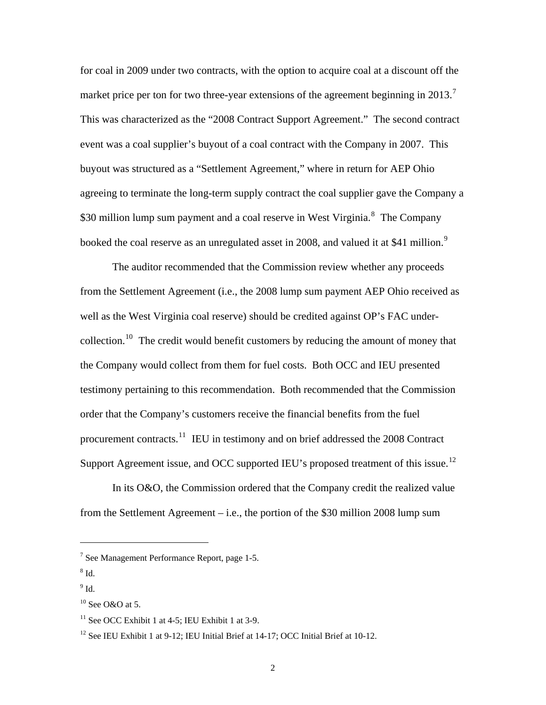for coal in 2009 under two contracts, with the option to acquire coal at a discount off the market price per ton for two three-year extensions of the agreement beginning in 2013.<sup>[7](#page-6-3)</sup> This was characterized as the "2008 Contract Support Agreement." The second contract event was a coal supplier's buyout of a coal contract with the Company in 2007. This buyout was structured as a "Settlement Agreement," where in return for AEP Ohio agreeing to terminate the long-term supply contract the coal supplier gave the Company a \$30 million lump sum payment and a coal reserve in West Virginia.<sup>[8](#page-6-4)</sup> The Company booked the coal reserve as an unregulated asset in 2008, and valued it at \$41 million.<sup>[9](#page-6-5)</sup>

The auditor recommended that the Commission review whether any proceeds from the Settlement Agreement (i.e., the 2008 lump sum payment AEP Ohio received as well as the West Virginia coal reserve) should be credited against OP's FAC under-collection.<sup>[10](#page-6-0)</sup> The credit would benefit customers by reducing the amount of money that the Company would collect from them for fuel costs. Both OCC and IEU presented testimony pertaining to this recommendation. Both recommended that the Commission order that the Company's customers receive the financial benefits from the fuel procurement contracts.<sup>[11](#page-6-1)</sup> IEU in testimony and on brief addressed the 2008 Contract Support Agreement issue, and OCC supported IEU's proposed treatment of this issue.<sup>[12](#page-6-2)</sup>

In its O&O, the Commission ordered that the Company credit the realized value from the Settlement Agreement – i.e., the portion of the \$30 million 2008 lump sum

<span id="page-6-3"></span><sup>&</sup>lt;sup>7</sup> See Management Performance Report, page 1-5.

<span id="page-6-4"></span> $^8$  Id.

<span id="page-6-5"></span> $^9$  Id.

<span id="page-6-0"></span> $10$  See O&O at 5.

<span id="page-6-1"></span> $11$  See OCC Exhibit 1 at 4-5; IEU Exhibit 1 at 3-9.

<span id="page-6-2"></span><sup>&</sup>lt;sup>12</sup> See IEU Exhibit 1 at 9-12; IEU Initial Brief at 14-17; OCC Initial Brief at 10-12.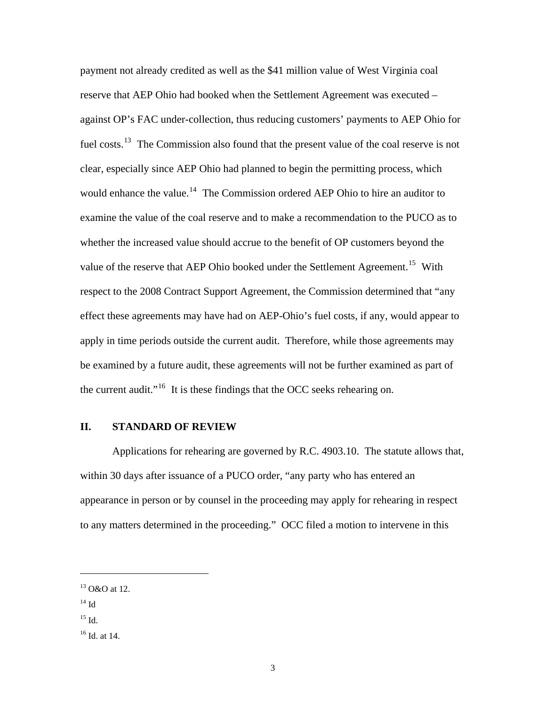<span id="page-7-0"></span>payment not already credited as well as the \$41 million value of West Virginia coal reserve that AEP Ohio had booked when the Settlement Agreement was executed – against OP's FAC under-collection, thus reducing customers' payments to AEP Ohio for fuel costs.<sup>[13](#page-7-3)</sup> The Commission also found that the present value of the coal reserve is not clear, especially since AEP Ohio had planned to begin the permitting process, which would enhance the value.<sup>[14](#page-7-4)</sup> The Commission ordered AEP Ohio to hire an auditor to examine the value of the coal reserve and to make a recommendation to the PUCO as to whether the increased value should accrue to the benefit of OP customers beyond the value of the reserve that AEP Ohio booked under the Settlement Agreement.<sup>[15](#page-7-1)</sup> With respect to the 2008 Contract Support Agreement, the Commission determined that "any effect these agreements may have had on AEP-Ohio's fuel costs, if any, would appear to apply in time periods outside the current audit. Therefore, while those agreements may be examined by a future audit, these agreements will not be further examined as part of the current audit."<sup>[16](#page-7-2)</sup> It is these findings that the OCC seeks rehearing on.

#### **II. STANDARD OF REVIEW**

Applications for rehearing are governed by R.C. 4903.10. The statute allows that, within 30 days after issuance of a PUCO order, "any party who has entered an appearance in person or by counsel in the proceeding may apply for rehearing in respect to any matters determined in the proceeding." OCC filed a motion to intervene in this

<span id="page-7-4"></span> $14$  Id

 $\overline{a}$ 

<span id="page-7-1"></span> $15$  Id.

<span id="page-7-3"></span><sup>&</sup>lt;sup>13</sup> O&O at 12.

<span id="page-7-2"></span><sup>16</sup> Id. at 14.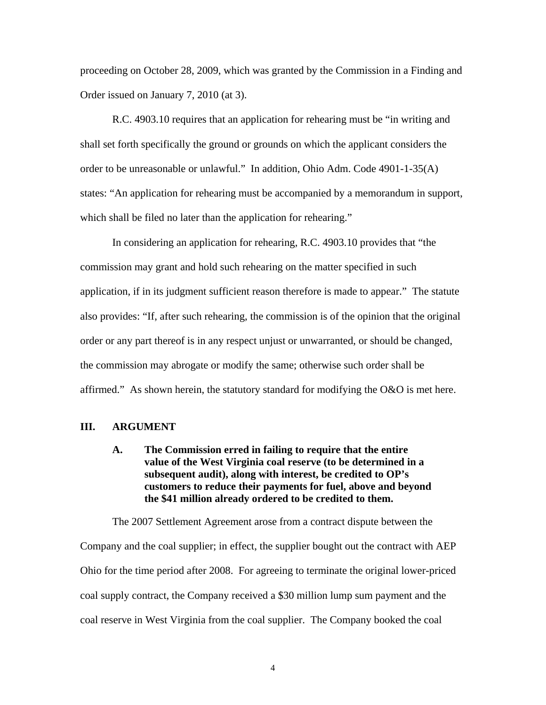<span id="page-8-0"></span>proceeding on October 28, 2009, which was granted by the Commission in a Finding and Order issued on January 7, 2010 (at 3).

R.C. 4903.10 requires that an application for rehearing must be "in writing and shall set forth specifically the ground or grounds on which the applicant considers the order to be unreasonable or unlawful." In addition, Ohio Adm. Code 4901-1-35(A) states: "An application for rehearing must be accompanied by a memorandum in support, which shall be filed no later than the application for rehearing."

In considering an application for rehearing, R.C. 4903.10 provides that "the commission may grant and hold such rehearing on the matter specified in such application, if in its judgment sufficient reason therefore is made to appear." The statute also provides: "If, after such rehearing, the commission is of the opinion that the original order or any part thereof is in any respect unjust or unwarranted, or should be changed, the commission may abrogate or modify the same; otherwise such order shall be affirmed." As shown herein, the statutory standard for modifying the  $O&O$  is met here.

#### **III. ARGUMENT**

# **A. The Commission erred in failing to require that the entire value of the West Virginia coal reserve (to be determined in a subsequent audit), along with interest, be credited to OP's customers to reduce their payments for fuel, above and beyond the \$41 million already ordered to be credited to them.**

The 2007 Settlement Agreement arose from a contract dispute between the Company and the coal supplier; in effect, the supplier bought out the contract with AEP Ohio for the time period after 2008. For agreeing to terminate the original lower-priced coal supply contract, the Company received a \$30 million lump sum payment and the coal reserve in West Virginia from the coal supplier. The Company booked the coal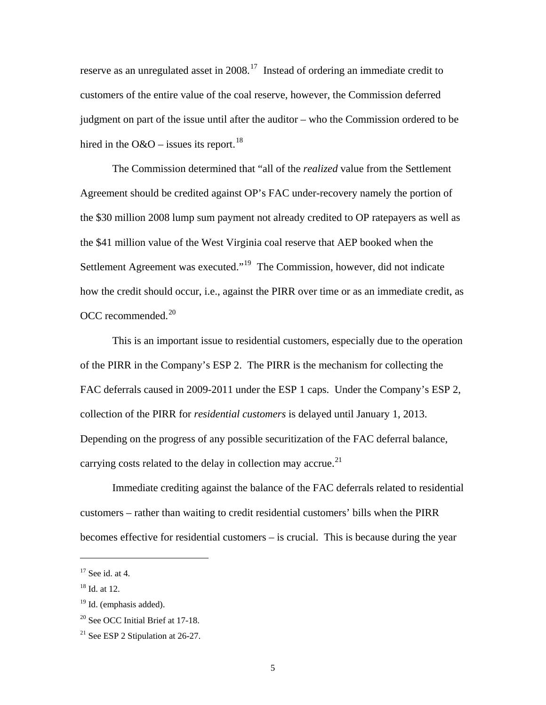reserve as an unregulated asset in  $2008$ <sup>[17](#page-9-3)</sup> Instead of ordering an immediate credit to customers of the entire value of the coal reserve, however, the Commission deferred judgment on part of the issue until after the auditor – who the Commission ordered to be hired in the O&O – issues its report.<sup>[18](#page-9-4)</sup>

The Commission determined that "all of the *realized* value from the Settlement Agreement should be credited against OP's FAC under-recovery namely the portion of the \$30 million 2008 lump sum payment not already credited to OP ratepayers as well as the \$41 million value of the West Virginia coal reserve that AEP booked when the Settlement Agreement was executed."[19](#page-9-2) The Commission, however, did not indicate how the credit should occur, i.e., against the PIRR over time or as an immediate credit, as OCC recommended. [20](#page-9-0)

This is an important issue to residential customers, especially due to the operation of the PIRR in the Company's ESP 2. The PIRR is the mechanism for collecting the FAC deferrals caused in 2009-2011 under the ESP 1 caps. Under the Company's ESP 2, collection of the PIRR for *residential customers* is delayed until January 1, 2013. Depending on the progress of any possible securitization of the FAC deferral balance, carrying costs related to the delay in collection may accrue.<sup>[21](#page-9-1)</sup>

Immediate crediting against the balance of the FAC deferrals related to residential customers – rather than waiting to credit residential customers' bills when the PIRR becomes effective for residential customers – is crucial. This is because during the year

<span id="page-9-3"></span> $17$  See id. at 4.

<span id="page-9-4"></span> $18$  Id. at 12.

<span id="page-9-2"></span><sup>&</sup>lt;sup>19</sup> Id. (emphasis added).

<span id="page-9-0"></span><sup>&</sup>lt;sup>20</sup> See OCC Initial Brief at 17-18.

<span id="page-9-1"></span><sup>&</sup>lt;sup>21</sup> See ESP 2 Stipulation at  $26-27$ .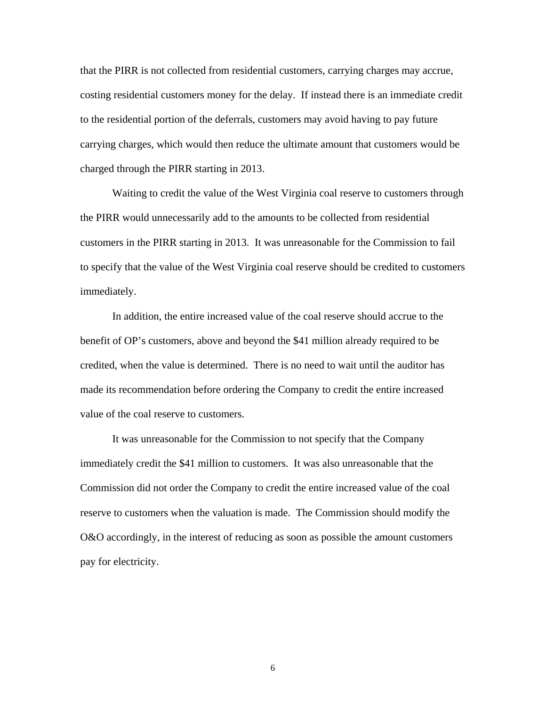that the PIRR is not collected from residential customers, carrying charges may accrue, costing residential customers money for the delay. If instead there is an immediate credit to the residential portion of the deferrals, customers may avoid having to pay future carrying charges, which would then reduce the ultimate amount that customers would be charged through the PIRR starting in 2013.

Waiting to credit the value of the West Virginia coal reserve to customers through the PIRR would unnecessarily add to the amounts to be collected from residential customers in the PIRR starting in 2013. It was unreasonable for the Commission to fail to specify that the value of the West Virginia coal reserve should be credited to customers immediately.

In addition, the entire increased value of the coal reserve should accrue to the benefit of OP's customers, above and beyond the \$41 million already required to be credited, when the value is determined. There is no need to wait until the auditor has made its recommendation before ordering the Company to credit the entire increased value of the coal reserve to customers.

It was unreasonable for the Commission to not specify that the Company immediately credit the \$41 million to customers. It was also unreasonable that the Commission did not order the Company to credit the entire increased value of the coal reserve to customers when the valuation is made. The Commission should modify the O&O accordingly, in the interest of reducing as soon as possible the amount customers pay for electricity.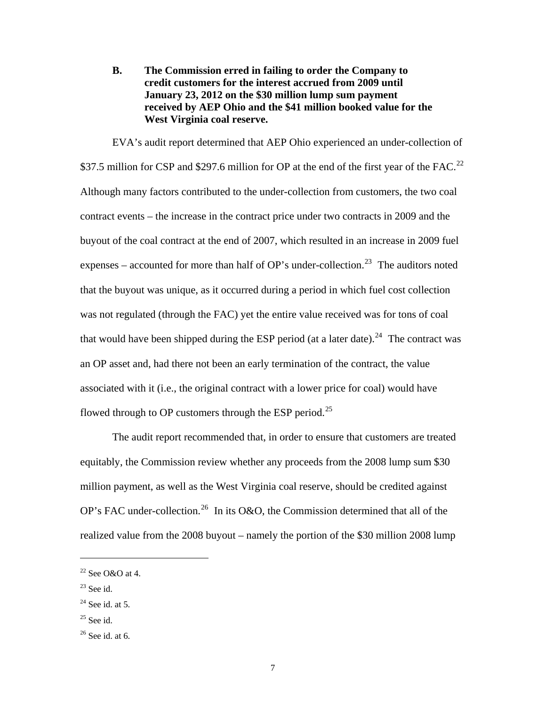<span id="page-11-0"></span>**B. The Commission erred in failing to order the Company to credit customers for the interest accrued from 2009 until January 23, 2012 on the \$30 million lump sum payment received by AEP Ohio and the \$41 million booked value for the West Virginia coal reserve.** 

EVA's audit report determined that AEP Ohio experienced an under-collection of \$37.5 million for CSP and \$297.6 million for OP at the end of the first year of the FAC.<sup>[22](#page-11-4)</sup> Although many factors contributed to the under-collection from customers, the two coal contract events – the increase in the contract price under two contracts in 2009 and the buyout of the coal contract at the end of 2007, which resulted in an increase in 2009 fuel expenses – accounted for more than half of OP's under-collection.<sup>[23](#page-11-5)</sup> The auditors noted that the buyout was unique, as it occurred during a period in which fuel cost collection was not regulated (through the FAC) yet the entire value received was for tons of coal that would have been shipped during the ESP period (at a later date).<sup>[24](#page-11-3)</sup> The contract was an OP asset and, had there not been an early termination of the contract, the value associated with it (i.e., the original contract with a lower price for coal) would have flowed through to OP customers through the ESP period.<sup>[25](#page-11-1)</sup>

The audit report recommended that, in order to ensure that customers are treated equitably, the Commission review whether any proceeds from the 2008 lump sum \$30 million payment, as well as the West Virginia coal reserve, should be credited against OP's FAC under-collection.<sup>[26](#page-11-2)</sup> In its O&O, the Commission determined that all of the realized value from the 2008 buyout – namely the portion of the \$30 million 2008 lump

<span id="page-11-5"></span> $23$  See id.

 $\overline{a}$ 

<span id="page-11-1"></span> $25$  See id.

<span id="page-11-4"></span> $22$  See O&O at 4.

<span id="page-11-3"></span> $24$  See id. at 5.

<span id="page-11-2"></span> $26$  See id. at 6.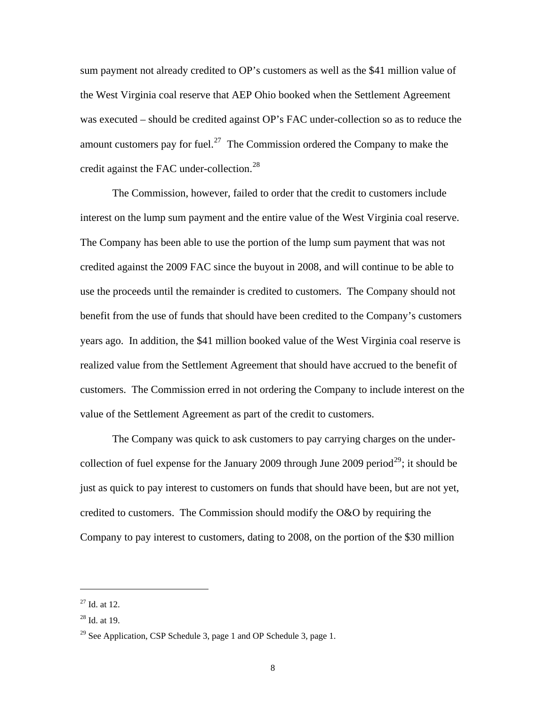sum payment not already credited to OP's customers as well as the \$41 million value of the West Virginia coal reserve that AEP Ohio booked when the Settlement Agreement was executed – should be credited against OP's FAC under-collection so as to reduce the amount customers pay for fuel.<sup>[27](#page-12-2)</sup> The Commission ordered the Company to make the credit against the FAC under-collection.<sup>[28](#page-12-1)</sup>

The Commission, however, failed to order that the credit to customers include interest on the lump sum payment and the entire value of the West Virginia coal reserve. The Company has been able to use the portion of the lump sum payment that was not credited against the 2009 FAC since the buyout in 2008, and will continue to be able to use the proceeds until the remainder is credited to customers. The Company should not benefit from the use of funds that should have been credited to the Company's customers years ago. In addition, the \$41 million booked value of the West Virginia coal reserve is realized value from the Settlement Agreement that should have accrued to the benefit of customers. The Commission erred in not ordering the Company to include interest on the value of the Settlement Agreement as part of the credit to customers.

The Company was quick to ask customers to pay carrying charges on the under-collection of fuel expense for the January 2009 through June 2009 period<sup>[29](#page-12-0)</sup>; it should be just as quick to pay interest to customers on funds that should have been, but are not yet, credited to customers. The Commission should modify the O&O by requiring the Company to pay interest to customers, dating to 2008, on the portion of the \$30 million

<span id="page-12-2"></span> $^{27}$  Id. at 12.

<span id="page-12-1"></span> $28$  Id. at 19.

<span id="page-12-0"></span><sup>&</sup>lt;sup>29</sup> See Application, CSP Schedule 3, page 1 and OP Schedule 3, page 1.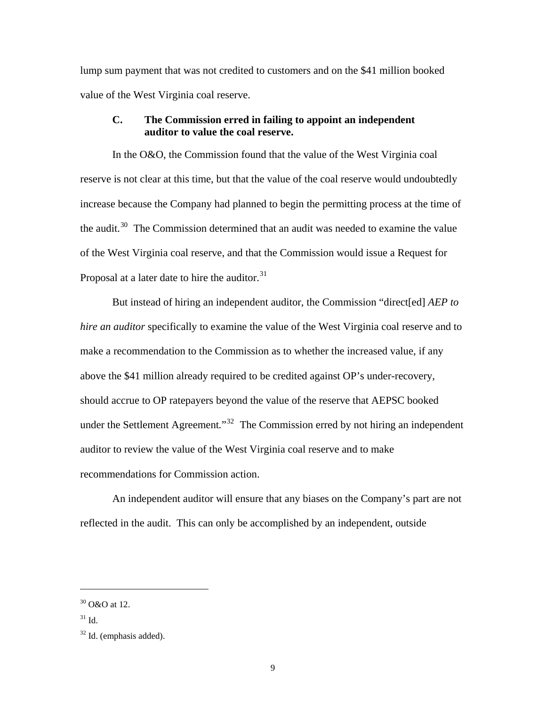<span id="page-13-0"></span>lump sum payment that was not credited to customers and on the \$41 million booked value of the West Virginia coal reserve.

# **C. The Commission erred in failing to appoint an independent auditor to value the coal reserve.**

In the O&O, the Commission found that the value of the West Virginia coal reserve is not clear at this time, but that the value of the coal reserve would undoubtedly increase because the Company had planned to begin the permitting process at the time of the audit.<sup>[30](#page-13-3)</sup> The Commission determined that an audit was needed to examine the value of the West Virginia coal reserve, and that the Commission would issue a Request for Proposal at a later date to hire the auditor. $31$ 

But instead of hiring an independent auditor, the Commission "direct[ed] *AEP to hire an auditor* specifically to examine the value of the West Virginia coal reserve and to make a recommendation to the Commission as to whether the increased value, if any above the \$41 million already required to be credited against OP's under-recovery, should accrue to OP ratepayers beyond the value of the reserve that AEPSC booked under the Settlement Agreement.<sup>[32](#page-13-1)</sup> The Commission erred by not hiring an independent auditor to review the value of the West Virginia coal reserve and to make recommendations for Commission action.

An independent auditor will ensure that any biases on the Company's part are not reflected in the audit. This can only be accomplished by an independent, outside

<span id="page-13-3"></span> $30 \Omega$  O&O at 12.

<span id="page-13-2"></span> $^{31}$  Id.

<span id="page-13-1"></span> $32$  Id. (emphasis added).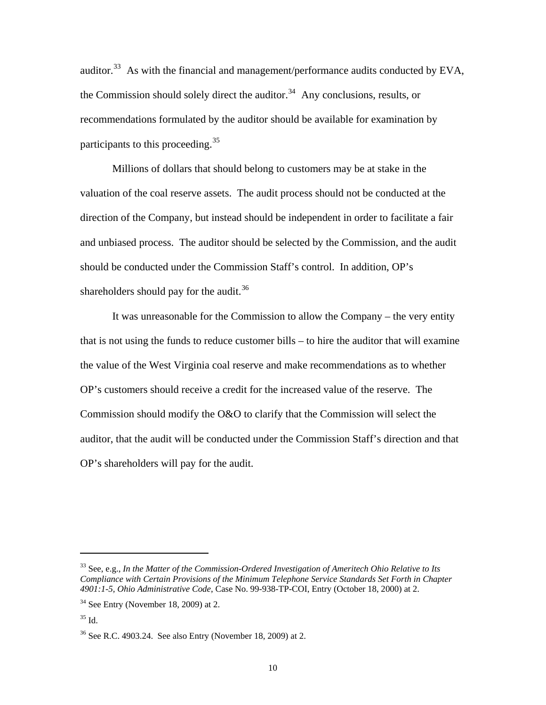auditor.[33](#page-14-2) As with the financial and management/performance audits conducted by EVA, the Commission should solely direct the auditor.<sup>[34](#page-14-3)</sup> Any conclusions, results, or recommendations formulated by the auditor should be available for examination by participants to this proceeding.<sup>[35](#page-14-0)</sup>

Millions of dollars that should belong to customers may be at stake in the valuation of the coal reserve assets. The audit process should not be conducted at the direction of the Company, but instead should be independent in order to facilitate a fair and unbiased process. The auditor should be selected by the Commission, and the audit should be conducted under the Commission Staff's control. In addition, OP's shareholders should pay for the audit.<sup>[36](#page-14-1)</sup>

It was unreasonable for the Commission to allow the Company – the very entity that is not using the funds to reduce customer bills – to hire the auditor that will examine the value of the West Virginia coal reserve and make recommendations as to whether OP's customers should receive a credit for the increased value of the reserve. The Commission should modify the O&O to clarify that the Commission will select the auditor, that the audit will be conducted under the Commission Staff's direction and that OP's shareholders will pay for the audit.

<span id="page-14-2"></span><sup>33</sup> See, e.g., *In the Matter of the Commission-Ordered Investigation of Ameritech Ohio Relative to Its Compliance with Certain Provisions of the Minimum Telephone Service Standards Set Forth in Chapter 4901:1-5, Ohio Administrative Code*, Case No. 99-938-TP-COI, Entry (October 18, 2000) at 2.

<span id="page-14-3"></span> $34$  See Entry (November 18, 2009) at 2.

<span id="page-14-0"></span> $35$  Id.

<span id="page-14-1"></span><sup>36</sup> See R.C. 4903.24. See also Entry (November 18, 2009) at 2.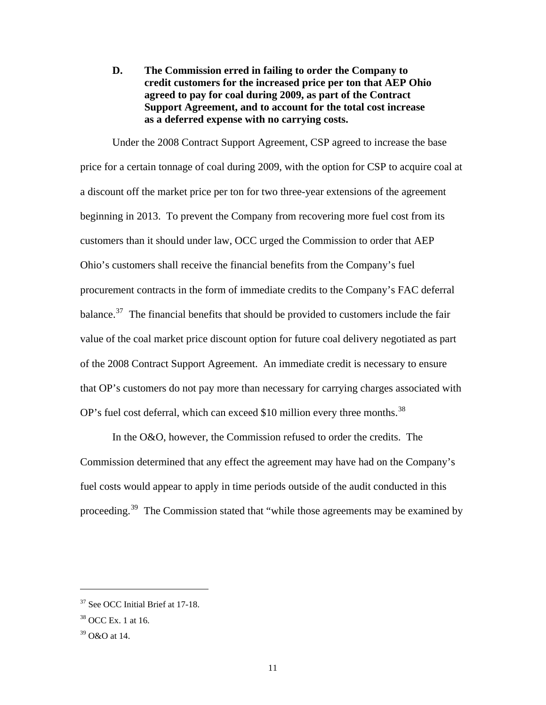<span id="page-15-0"></span>**D. The Commission erred in failing to order the Company to credit customers for the increased price per ton that AEP Ohio agreed to pay for coal during 2009, as part of the Contract Support Agreement, and to account for the total cost increase as a deferred expense with no carrying costs.** 

Under the 2008 Contract Support Agreement, CSP agreed to increase the base price for a certain tonnage of coal during 2009, with the option for CSP to acquire coal at a discount off the market price per ton for two three-year extensions of the agreement beginning in 2013. To prevent the Company from recovering more fuel cost from its customers than it should under law, OCC urged the Commission to order that AEP Ohio's customers shall receive the financial benefits from the Company's fuel procurement contracts in the form of immediate credits to the Company's FAC deferral balance.<sup>[37](#page-15-3)</sup> The financial benefits that should be provided to customers include the fair value of the coal market price discount option for future coal delivery negotiated as part of the 2008 Contract Support Agreement. An immediate credit is necessary to ensure that OP's customers do not pay more than necessary for carrying charges associated with OP's fuel cost deferral, which can exceed \$10 million every three months.<sup>[38](#page-15-2)</sup>

In the O&O, however, the Commission refused to order the credits. The Commission determined that any effect the agreement may have had on the Company's fuel costs would appear to apply in time periods outside of the audit conducted in this proceeding.[39](#page-15-1) The Commission stated that "while those agreements may be examined by

<span id="page-15-3"></span><sup>37</sup> See OCC Initial Brief at 17-18.

<span id="page-15-2"></span><sup>38</sup> OCC Ex. 1 at 16.

<span id="page-15-1"></span><sup>39</sup> O&O at 14.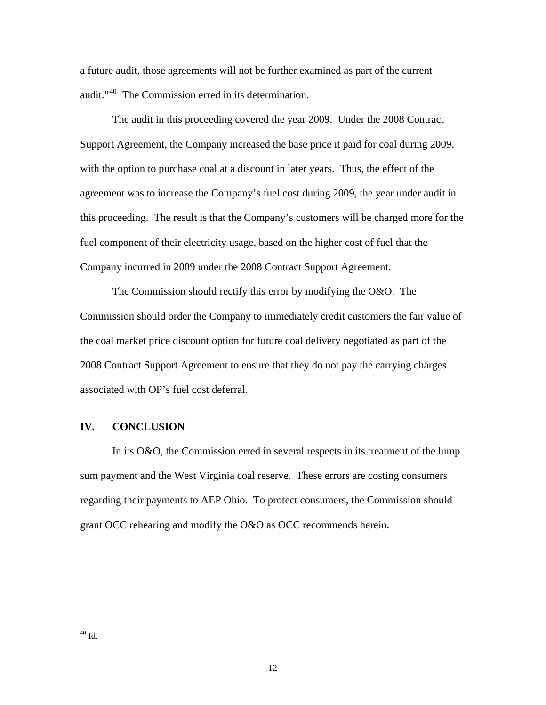<span id="page-16-0"></span>a future audit, those agreements will not be further examined as part of the current audit."<sup>[40](#page-16-1)</sup> The Commission erred in its determination.

The audit in this proceeding covered the year 2009. Under the 2008 Contract Support Agreement, the Company increased the base price it paid for coal during 2009, with the option to purchase coal at a discount in later years. Thus, the effect of the agreement was to increase the Company's fuel cost during 2009, the year under audit in this proceeding. The result is that the Company's customers will be charged more for the fuel component of their electricity usage, based on the higher cost of fuel that the Company incurred in 2009 under the 2008 Contract Support Agreement.

The Commission should rectify this error by modifying the O&O. The Commission should order the Company to immediately credit customers the fair value of the coal market price discount option for future coal delivery negotiated as part of the 2008 Contract Support Agreement to ensure that they do not pay the carrying charges associated with OP's fuel cost deferral.

#### **IV. CONCLUSION**

<span id="page-16-1"></span>In its O&O, the Commission erred in several respects in its treatment of the lump sum payment and the West Virginia coal reserve. These errors are costing consumers regarding their payments to AEP Ohio. To protect consumers, the Commission should grant OCC rehearing and modify the O&O as OCC recommends herein.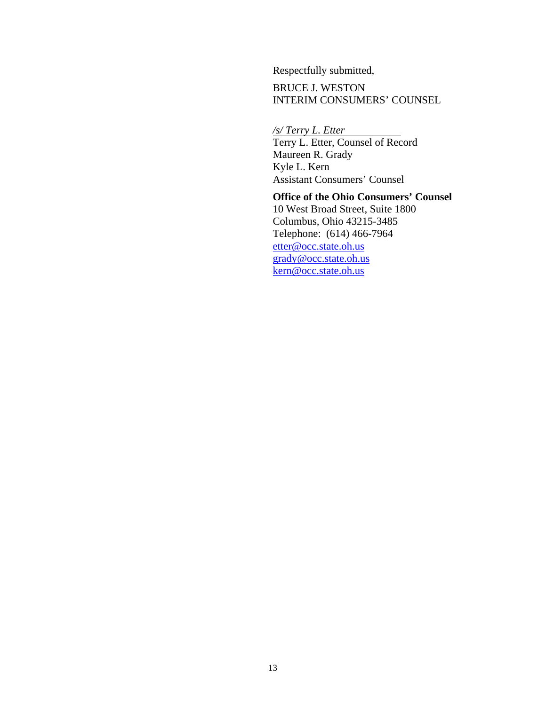Respectfully submitted,

BRUCE J. WESTON INTERIM CONSUMERS' COUNSEL

*/s/ Terry L. Etter*  Terry L. Etter, Counsel of Record Maureen R. Grady Kyle L. Kern Assistant Consumers' Counsel

**Office of the Ohio Consumers' Counsel**  10 West Broad Street, Suite 1800 Columbus, Ohio 43215-3485 Telephone: (614) 466-7964 [etter@occ.state.oh.us](mailto:etter@occ.state.oh.us) [grady@occ.state.oh.us](mailto:grady@occ.state.oh.us) [kern@occ.state.oh.us](mailto:kern@occ.state.oh.us)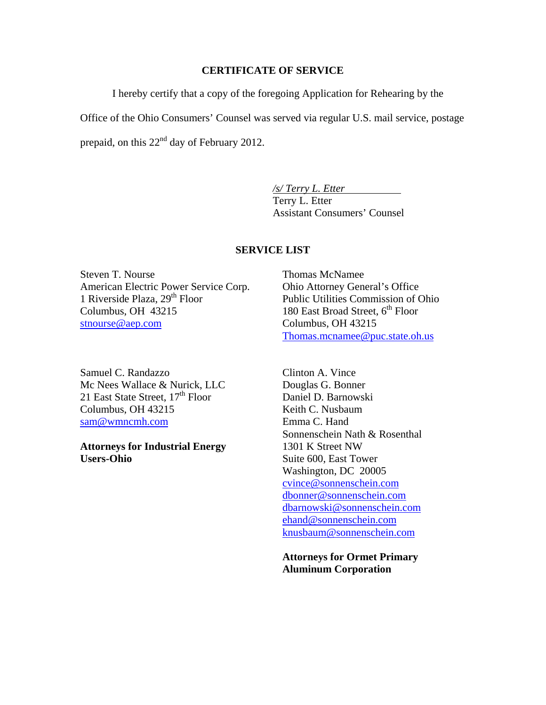#### **CERTIFICATE OF SERVICE**

I hereby certify that a copy of the foregoing Application for Rehearing by the

Office of the Ohio Consumers' Counsel was served via regular U.S. mail service, postage prepaid, on this  $22<sup>nd</sup>$  day of February 2012.

> */s/ Terry L. Etter*  Terry L. Etter Assistant Consumers' Counsel

### **SERVICE LIST**

Steven T. Nourse American Electric Power Service Corp. 1 Riverside Plaza,  $29<sup>th</sup>$  Floor Columbus, OH 43215 [stnourse@aep.com](mailto:stnourse@aep.com)

Samuel C. Randazzo Mc Nees Wallace & Nurick, LLC 21 East State Street,  $17<sup>th</sup>$  Floor Columbus, OH 43215 [sam@wmncmh.com](mailto:sam@wmncmh.com)

**Attorneys for Industrial Energy Users-Ohio**

Thomas McNamee Ohio Attorney General's Office Public Utilities Commission of Ohio 180 East Broad Street,  $6<sup>th</sup>$  Floor Columbus, OH 43215 [Thomas.mcnamee@puc.state.oh.us](mailto:Thomas.mcnamee@puc.state.oh.us)

Clinton A. Vince Douglas G. Bonner Daniel D. Barnowski Keith C. Nusbaum Emma C. Hand Sonnenschein Nath & Rosenthal 1301 K Street NW Suite 600, East Tower Washington, DC 20005 [cvince@sonnenschein.com](mailto:cvince@sonnenschein.com) [dbonner@sonnenschein.com](mailto:dbonner@sonnenschein.com) [dbarnowski@sonnenschein.com](mailto:dbarnowski@sonnenschein.com) [ehand@sonnenschein.com](mailto:ehand@sonnenschein.com) [knusbaum@sonnenschein.com](mailto:knusbaum@sonnenschein.com)

**Attorneys for Ormet Primary Aluminum Corporation**